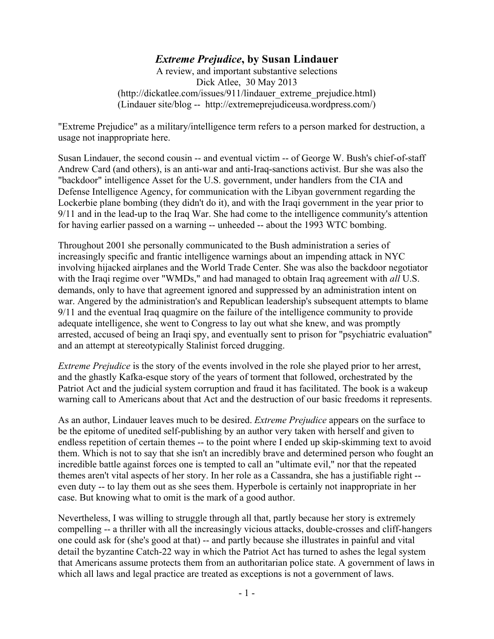# *Extreme Prejudice***, by Susan Lindauer**

A review, and important substantive selections Dick Atlee, 30 May 2013 (http://dickatlee.com/issues/911/lindauer\_extreme\_prejudice.html) (Lindauer site/blog -- http://extremeprejudiceusa.wordpress.com/)

"Extreme Prejudice" as a military/intelligence term refers to a person marked for destruction, a usage not inappropriate here.

Susan Lindauer, the second cousin -- and eventual victim -- of George W. Bush's chief-of-staff Andrew Card (and others), is an anti-war and anti-Iraq-sanctions activist. Bur she was also the "backdoor" intelligence Asset for the U.S. government, under handlers from the CIA and Defense Intelligence Agency, for communication with the Libyan government regarding the Lockerbie plane bombing (they didn't do it), and with the Iraqi government in the year prior to 9/11 and in the lead-up to the Iraq War. She had come to the intelligence community's attention for having earlier passed on a warning -- unheeded -- about the 1993 WTC bombing.

Throughout 2001 she personally communicated to the Bush administration a series of increasingly specific and frantic intelligence warnings about an impending attack in NYC involving hijacked airplanes and the World Trade Center. She was also the backdoor negotiator with the Iraqi regime over "WMDs," and had managed to obtain Iraq agreement with *all* U.S. demands, only to have that agreement ignored and suppressed by an administration intent on war. Angered by the administration's and Republican leadership's subsequent attempts to blame 9/11 and the eventual Iraq quagmire on the failure of the intelligence community to provide adequate intelligence, she went to Congress to lay out what she knew, and was promptly arrested, accused of being an Iraqi spy, and eventually sent to prison for "psychiatric evaluation" and an attempt at stereotypically Stalinist forced drugging.

*Extreme Prejudice* is the story of the events involved in the role she played prior to her arrest, and the ghastly Kafka-esque story of the years of torment that followed, orchestrated by the Patriot Act and the judicial system corruption and fraud it has facilitated. The book is a wakeup warning call to Americans about that Act and the destruction of our basic freedoms it represents.

As an author, Lindauer leaves much to be desired. *Extreme Prejudice* appears on the surface to be the epitome of unedited self-publishing by an author very taken with herself and given to endless repetition of certain themes -- to the point where I ended up skip-skimming text to avoid them. Which is not to say that she isn't an incredibly brave and determined person who fought an incredible battle against forces one is tempted to call an "ultimate evil," nor that the repeated themes aren't vital aspects of her story. In her role as a Cassandra, she has a justifiable right - even duty -- to lay them out as she sees them. Hyperbole is certainly not inappropriate in her case. But knowing what to omit is the mark of a good author.

Nevertheless, I was willing to struggle through all that, partly because her story is extremely compelling -- a thriller with all the increasingly vicious attacks, double-crosses and cliff-hangers one could ask for (she's good at that) -- and partly because she illustrates in painful and vital detail the byzantine Catch-22 way in which the Patriot Act has turned to ashes the legal system that Americans assume protects them from an authoritarian police state. A government of laws in which all laws and legal practice are treated as exceptions is not a government of laws.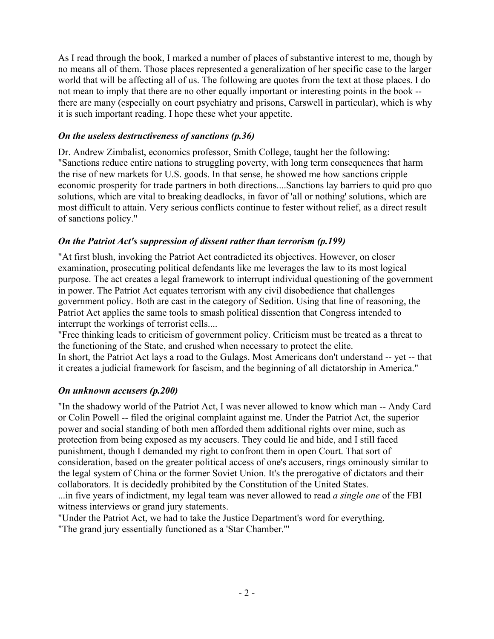As I read through the book, I marked a number of places of substantive interest to me, though by no means all of them. Those places represented a generalization of her specific case to the larger world that will be affecting all of us. The following are quotes from the text at those places. I do not mean to imply that there are no other equally important or interesting points in the book - there are many (especially on court psychiatry and prisons, Carswell in particular), which is why it is such important reading. I hope these whet your appetite.

### *On the useless destructiveness of sanctions (p.36)*

Dr. Andrew Zimbalist, economics professor, Smith College, taught her the following: "Sanctions reduce entire nations to struggling poverty, with long term consequences that harm the rise of new markets for U.S. goods. In that sense, he showed me how sanctions cripple economic prosperity for trade partners in both directions....Sanctions lay barriers to quid pro quo solutions, which are vital to breaking deadlocks, in favor of 'all or nothing' solutions, which are most difficult to attain. Very serious conflicts continue to fester without relief, as a direct result of sanctions policy."

# *On the Patriot Act's suppression of dissent rather than terrorism (p.199)*

"At first blush, invoking the Patriot Act contradicted its objectives. However, on closer examination, prosecuting political defendants like me leverages the law to its most logical purpose. The act creates a legal framework to interrupt individual questioning of the government in power. The Patriot Act equates terrorism with any civil disobedience that challenges government policy. Both are cast in the category of Sedition. Using that line of reasoning, the Patriot Act applies the same tools to smash political dissention that Congress intended to interrupt the workings of terrorist cells....

"Free thinking leads to criticism of government policy. Criticism must be treated as a threat to the functioning of the State, and crushed when necessary to protect the elite. In short, the Patriot Act lays a road to the Gulags. Most Americans don't understand -- yet -- that it creates a judicial framework for fascism, and the beginning of all dictatorship in America."

# *On unknown accusers (p.200)*

"In the shadowy world of the Patriot Act, I was never allowed to know which man -- Andy Card or Colin Powell -- filed the original complaint against me. Under the Patriot Act, the superior power and social standing of both men afforded them additional rights over mine, such as protection from being exposed as my accusers. They could lie and hide, and I still faced punishment, though I demanded my right to confront them in open Court. That sort of consideration, based on the greater political access of one's accusers, rings ominously similar to the legal system of China or the former Soviet Union. It's the prerogative of dictators and their collaborators. It is decidedly prohibited by the Constitution of the United States. ...in five years of indictment, my legal team was never allowed to read *a single one* of the FBI witness interviews or grand jury statements.

"Under the Patriot Act, we had to take the Justice Department's word for everything. "The grand jury essentially functioned as a 'Star Chamber.'"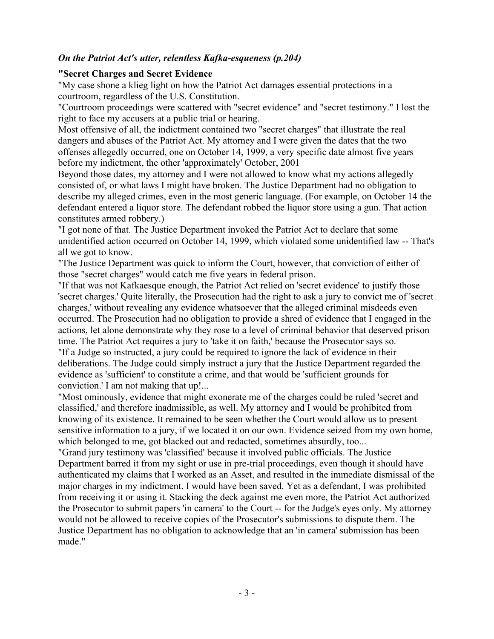### *On the Patriot Act's utter, relentless Kafka-esqueness (p.204)*

#### **"Secret Charges and Secret Evidence**

"My case shone a klieg light on how the Patriot Act damages essential protections in a courtroom, regardless of the U.S. Constitution.

"Courtroom proceedings were scattered with "secret evidence" and "secret testimony." I lost the right to face my accusers at a public trial or hearing.

Most offensive of all, the indictment contained two "secret charges" that illustrate the real dangers and abuses of the Patriot Act. My attorney and I were given the dates that the two offenses allegedly occurred, one on October 14, 1999, a very specific date almost five years before my indictment, the other 'approximately' October, 2001

Beyond those dates, my attorney and I were not allowed to know what my actions allegedly consisted of, or what laws I might have broken. The Justice Department had no obligation to describe my alleged crimes, even in the most generic language. (For example, on October 14 the defendant entered a liquor store. The defendant robbed the liquor store using a gun. That action constitutes armed robbery.)

"I got none of that. The Justice Department invoked the Patriot Act to declare that some unidentified action occurred on October 14, 1999, which violated some unidentified law -- That's all we got to know.

"The Justice Department was quick to inform the Court, however, that conviction of either of those "secret charges" would catch me five years in federal prison.

"If that was not Kafkaesque enough, the Patriot Act relied on 'secret evidence' to justify those 'secret charges.' Quite literally, the Prosecution had the right to ask a jury to convict me of 'secret charges,' without revealing any evidence whatsoever that the alleged criminal misdeeds even occurred. The Prosecution had no obligation to provide a shred of evidence that I engaged in the actions, let alone demonstrate why they rose to a level of criminal behavior that deserved prison time. The Patriot Act requires a jury to 'take it on faith,' because the Prosecutor says so. "If a Judge so instructed, a jury could be required to ignore the lack of evidence in their deliberations. The Judge could simply instruct a jury that the Justice Department regarded the evidence as 'sufficient' to constitute a crime, and that would be 'sufficient grounds for conviction.' I am not making that up!...

"Most ominously, evidence that might exonerate me of the charges could be ruled 'secret and classified,' and therefore inadmissible, as well. My attorney and I would be prohibited from knowing of its existence. It remained to be seen whether the Court would allow us to present sensitive information to a jury, if we located it on our own. Evidence seized from my own home, which belonged to me, got blacked out and redacted, sometimes absurdly, too...

"Grand jury testimony was 'classified' because it involved public officials. The Justice Department barred it from my sight or use in pre-trial proceedings, even though it should have authenticated my claims that I worked as an Asset, and resulted in the immediate dismissal of the major charges in my indictment. I would have been saved. Yet as a defendant, I was prohibited from receiving it or using it. Stacking the deck against me even more, the Patriot Act authorized the Prosecutor to submit papers 'in camera' to the Court -- for the Judge's eyes only. My attorney would not be allowed to receive copies of the Prosecutor's submissions to dispute them. The Justice Department has no obligation to acknowledge that an 'in camera' submission has been made."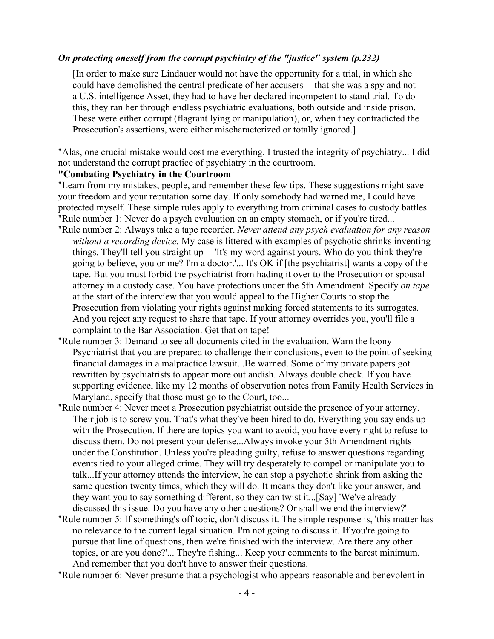#### *On protecting oneself from the corrupt psychiatry of the "justice" system (p.232)*

[In order to make sure Lindauer would not have the opportunity for a trial, in which she could have demolished the central predicate of her accusers -- that she was a spy and not a U.S. intelligence Asset, they had to have her declared incompetent to stand trial. To do this, they ran her through endless psychiatric evaluations, both outside and inside prison. These were either corrupt (flagrant lying or manipulation), or, when they contradicted the Prosecution's assertions, were either mischaracterized or totally ignored.]

"Alas, one crucial mistake would cost me everything. I trusted the integrity of psychiatry... I did not understand the corrupt practice of psychiatry in the courtroom.

#### **"Combating Psychiatry in the Courtroom**

"Learn from my mistakes, people, and remember these few tips. These suggestions might save your freedom and your reputation some day. If only somebody had warned me, I could have protected myself. These simple rules apply to everything from criminal cases to custody battles. "Rule number 1: Never do a psych evaluation on an empty stomach, or if you're tired...

- "Rule number 2: Always take a tape recorder. *Never attend any psych evaluation for any reason without a recording device.* My case is littered with examples of psychotic shrinks inventing things. They'll tell you straight up -- 'It's my word against yours. Who do you think they're going to believe, you or me? I'm a doctor.'... It's OK if [the psychiatrist] wants a copy of the tape. But you must forbid the psychiatrist from hading it over to the Prosecution or spousal attorney in a custody case. You have protections under the 5th Amendment. Specify *on tape* at the start of the interview that you would appeal to the Higher Courts to stop the Prosecution from violating your rights against making forced statements to its surrogates. And you reject any request to share that tape. If your attorney overrides you, you'll file a complaint to the Bar Association. Get that on tape!
- "Rule number 3: Demand to see all documents cited in the evaluation. Warn the loony Psychiatrist that you are prepared to challenge their conclusions, even to the point of seeking financial damages in a malpractice lawsuit...Be warned. Some of my private papers got rewritten by psychiatrists to appear more outlandish. Always double check. If you have supporting evidence, like my 12 months of observation notes from Family Health Services in Maryland, specify that those must go to the Court, too...
- "Rule number 4: Never meet a Prosecution psychiatrist outside the presence of your attorney. Their job is to screw you. That's what they've been hired to do. Everything you say ends up with the Prosecution. If there are topics you want to avoid, you have every right to refuse to discuss them. Do not present your defense...Always invoke your 5th Amendment rights under the Constitution. Unless you're pleading guilty, refuse to answer questions regarding events tied to your alleged crime. They will try desperately to compel or manipulate you to talk...If your attorney attends the interview, he can stop a psychotic shrink from asking the same question twenty times, which they will do. It means they don't like your answer, and they want you to say something different, so they can twist it...[Say] 'We've already discussed this issue. Do you have any other questions? Or shall we end the interview?'
- "Rule number 5: If something's off topic, don't discuss it. The simple response is, 'this matter has no relevance to the current legal situation. I'm not going to discuss it. If you're going to pursue that line of questions, then we're finished with the interview. Are there any other topics, or are you done?'... They're fishing... Keep your comments to the barest minimum. And remember that you don't have to answer their questions.
- "Rule number 6: Never presume that a psychologist who appears reasonable and benevolent in